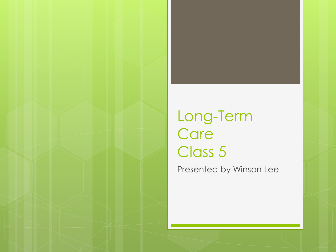### Long-Term **Care** Class 5

Presented by Winson Lee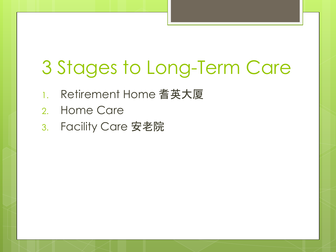# 3 Stages to Long-Term Care

- 1. Retirement Home 耆英大厦
- 2. Home Care
- 3. Facility Care 安老院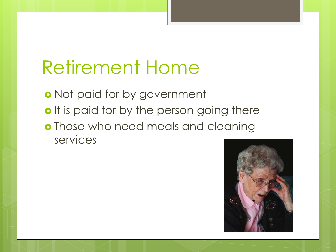o Not paid for by government o It is paid for by the person going there **o** Those who need meals and cleaning services

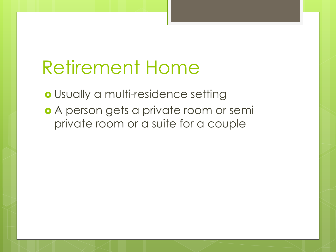Usually a multi-residence setting o A person gets a private room or semiprivate room or a suite for a couple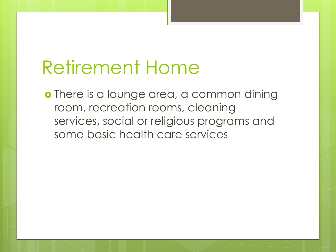o There is a lounge area, a common dining room, recreation rooms, cleaning services, social or religious programs and some basic health care services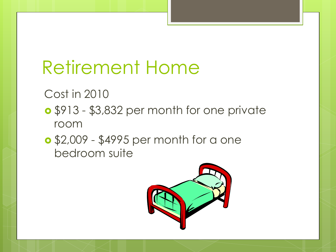Cost in 2010

- \$913 \$3,832 per month for one private room
- \$2,009 \$4995 per month for a one bedroom suite

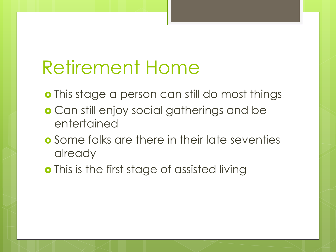- o This stage a person can still do most things
- Can still enjoy social gatherings and be entertained
- **o** Some folks are there in their late seventies already
- o This is the first stage of assisted living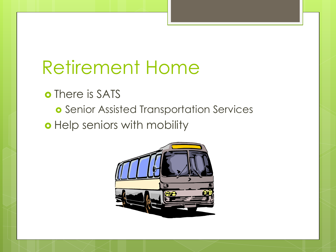o There is SATS

**o** Senior Assisted Transportation Services

o Help seniors with mobility

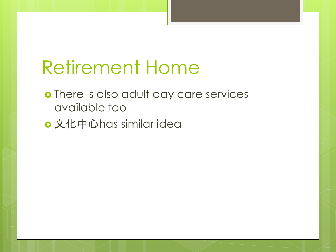- o There is also adult day care services available too
- 文化中心has similar idea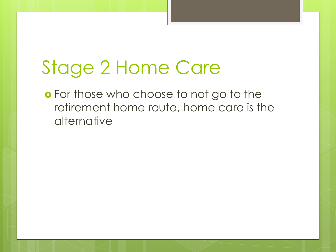# Stage 2 Home Care

**o** For those who choose to not go to the retirement home route, home care is the alternative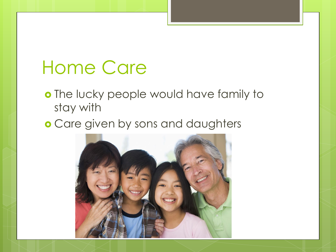o The lucky people would have family to stay with

**o** Care given by sons and daughters

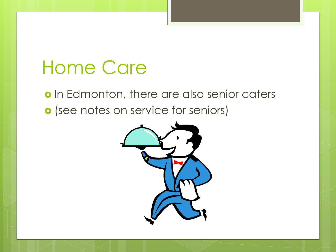o In Edmonton, there are also senior caters o (see notes on service for seniors)

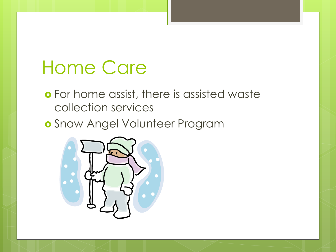- For home assist, there is assisted waste collection services
- Snow Angel Volunteer Program

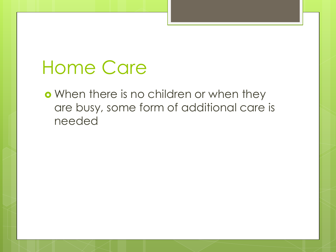o When there is no children or when they are busy, some form of additional care is needed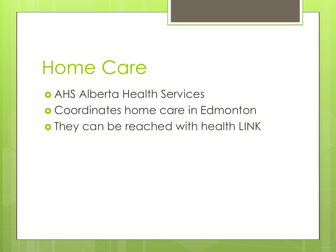AHS Alberta Health Services Coordinates home care in Edmonton o They can be reached with health LINK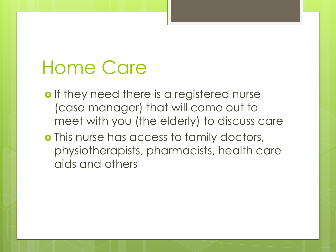- o If they need there is a registered nurse (case manager) that will come out to meet with you (the elderly) to discuss care
- o This nurse has access to family doctors, physiotherapists, pharmacists, health care aids and others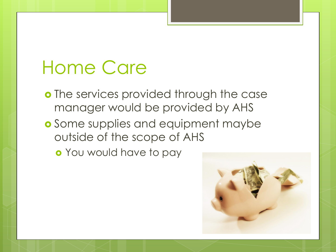- o The services provided through the case manager would be provided by AHS
- **o** Some supplies and equipment maybe outside of the scope of AHS
	- You would have to pay

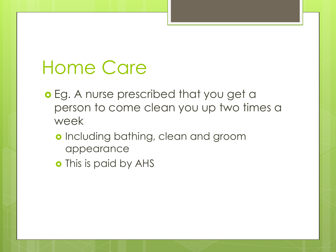- **o** Eg. A nurse prescribed that you get a person to come clean you up two times a week
	- o Including bathing, clean and groom appearance
	- o This is paid by AHS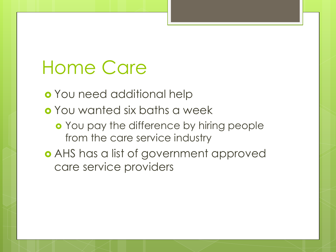You need additional help You wanted six baths a week **o** You pay the difference by hiring people from the care service industry AHS has a list of government approved care service providers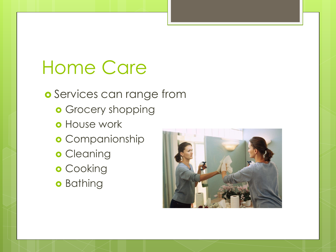o Services can range from

- **o** Grocery shopping
- **o** House work
- **o** Companionship
- **o** Cleaning
- o Cooking
- **o** Bathing

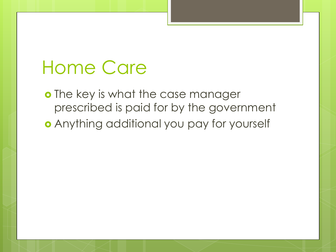o The key is what the case manager prescribed is paid for by the government Anything additional you pay for yourself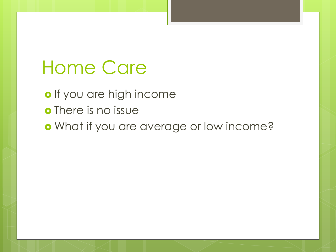o If you are high income o There is no issue o What if you are average or low income?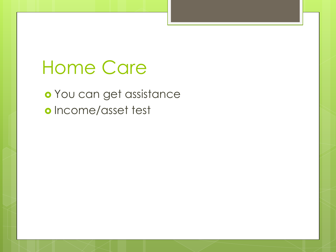You can get assistance o Income/asset test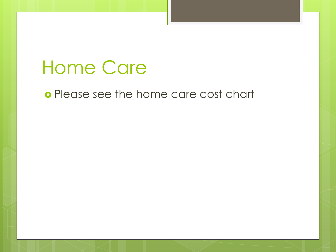o Please see the home care cost chart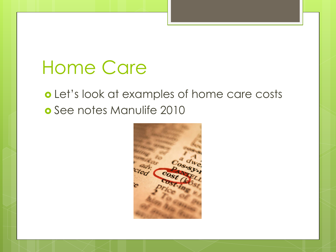#### o Let's look at examples of home care costs o See notes Manulife 2010

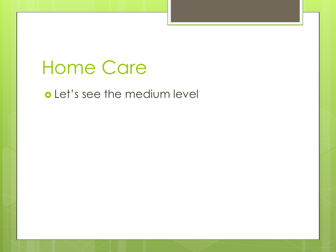#### o Let's see the medium level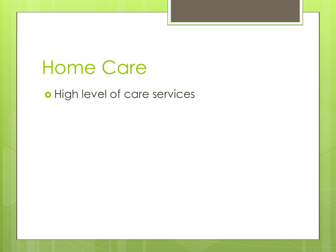#### o High level of care services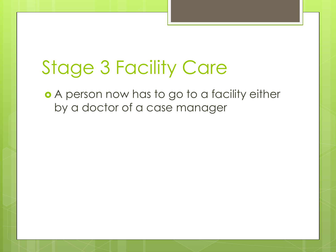## Stage 3 Facility Care

**•** A person now has to go to a facility either by a doctor of a case manager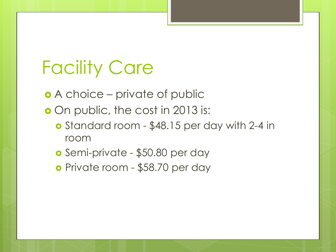A choice – private of public

**o** On public, the cost in 2013 is:

- o Standard room \$48.15 per day with 2-4 in room
- Semi-private \$50.80 per day
- Private room \$58.70 per day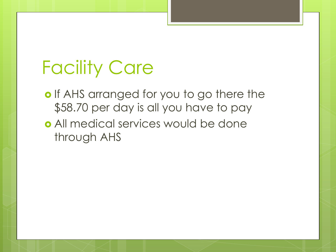- o If AHS arranged for you to go there the \$58.70 per day is all you have to pay
- All medical services would be done through AHS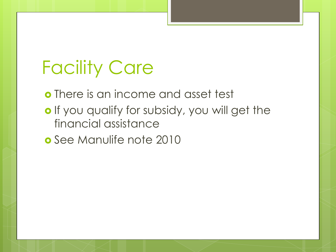There is an income and asset test

- o If you qualify for subsidy, you will get the financial assistance
- **o** See Manulife note 2010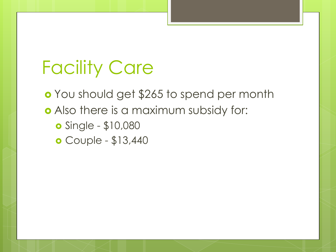You should get \$265 to spend per month Also there is a maximum subsidy for: Single - \$10,080

- 
- Couple \$13,440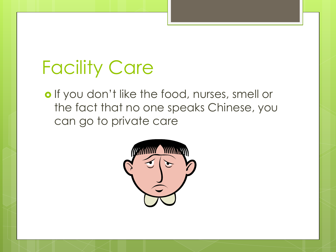o If you don't like the food, nurses, smell or the fact that no one speaks Chinese, you can go to private care

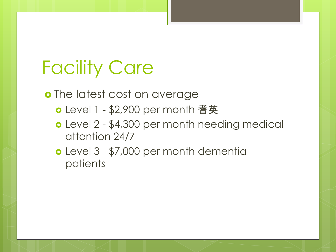o The latest cost on average

- Level 1 \$2,900 per month 耆英
- Level 2 \$4,300 per month needing medical attention 24/7
- Level 3 \$7,000 per month dementia patients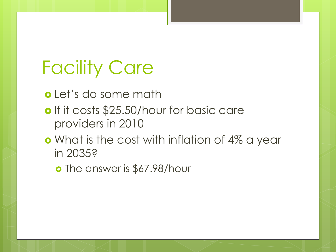Let's do some math

- o If it costs \$25.50/hour for basic care providers in 2010
- **o** What is the cost with inflation of 4% a year in 2035?
	- **o** The answer is \$67.98/hour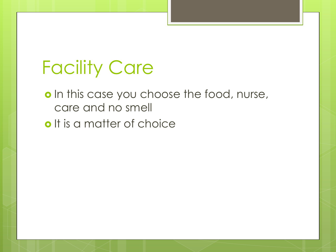- o In this case you choose the food, nurse, care and no smell
- o It is a matter of choice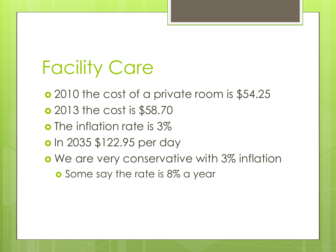**o** 2010 the cost of a private room is \$54.25 2013 the cost is \$58.70 **o** The inflation rate is 3% **o** In 2035 \$122.95 per day o We are very conservative with 3% inflation **o** Some say the rate is 8% a year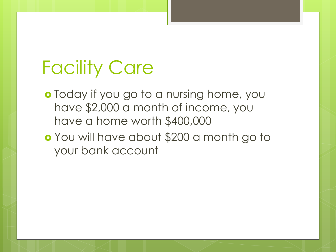**o** Today if you go to a nursing home, you have \$2,000 a month of income, you have a home worth \$400,000

 You will have about \$200 a month go to your bank account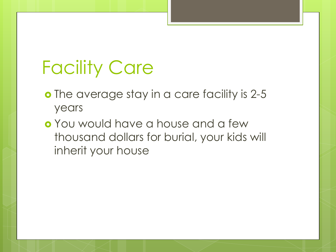- o The average stay in a care facility is 2-5 years
- You would have a house and a few thousand dollars for burial, your kids will inherit your house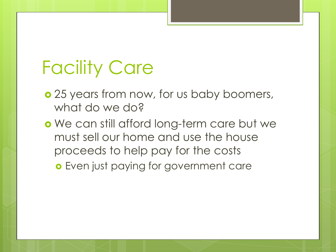- **o** 25 years from now, for us baby boomers, what do we do?
- o We can still afford long-term care but we must sell our home and use the house proceeds to help pay for the costs Even just paying for government care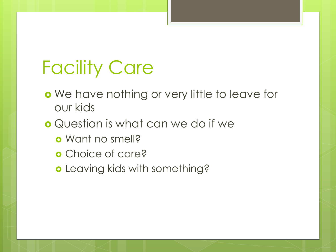- o We have nothing or very little to leave for our kids
- **o** Question is what can we do if we
	- Want no smell?
	- **o** Choice of care?
	- o Leaving kids with something?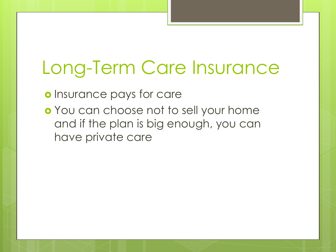## Long-Term Care Insurance

o Insurance pays for care

o You can choose not to sell your home and if the plan is big enough, you can have private care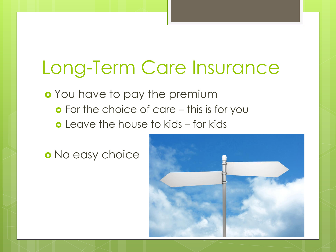## Long-Term Care Insurance

o You have to pay the premium **o** For the choice of care – this is for you Leave the house to kids – for kids

o No easy choice

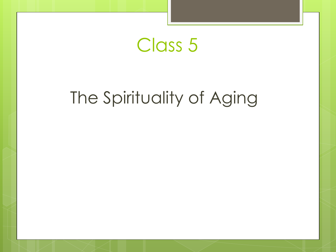### Class 5

### The Spirituality of Aging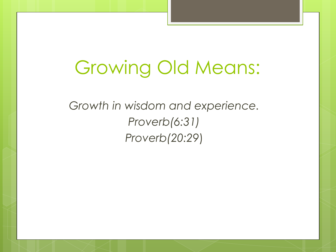## Growing Old Means:

*Growth in wisdom and experience. Proverb(6:31) Proverb(20:29*)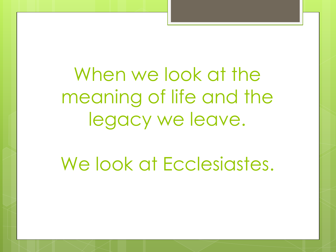When we look at the meaning of life and the legacy we leave.

We look at Ecclesiastes.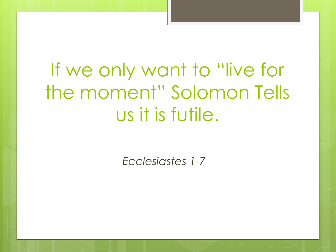# If we only want to "live for the moment" Solomon Tells us it is futile.

*Ecclesiastes 1-7*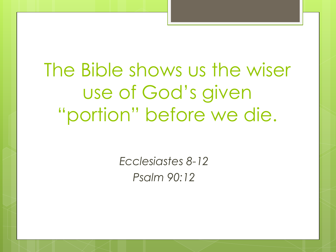The Bible shows us the wiser use of God's given "portion" before we die.

> *Ecclesiastes 8-12 Psalm 90:12*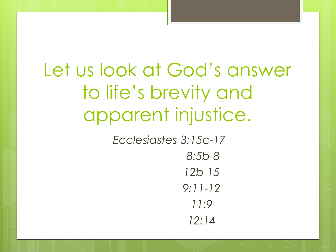# Let us look at God's answer to life's brevity and apparent injustice.

*Ecclesiastes 3:15c-17 8:5b-8 12b-15*

*9:11-12 11:9 12:14*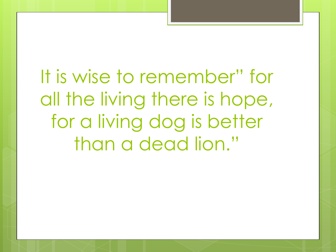It is wise to remember" for all the living there is hope, for a living dog is better than a dead lion."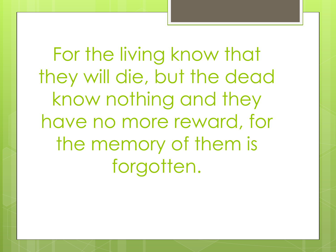For the living know that they will die, but the dead know nothing and they have no more reward, for the memory of them is forgotten.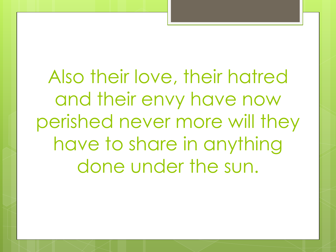Also their love, their hatred and their envy have now perished never more will they have to share in anything done under the sun.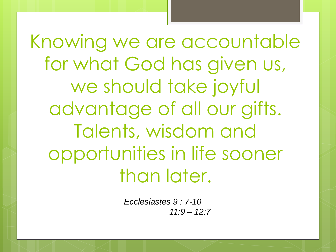Knowing we are accountable for what God has given us, we should take joyful advantage of all our gifts. Talents, wisdom and opportunities in life sooner than later.

> *Ecclesiastes 9 : 7-10 11:9 – 12:7*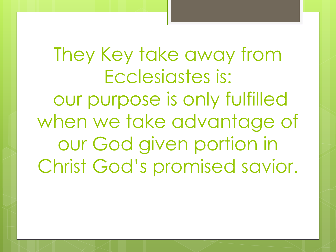They Key take away from Ecclesiastes is: our purpose is only fulfilled when we take advantage of our God given portion in Christ God's promised savior.